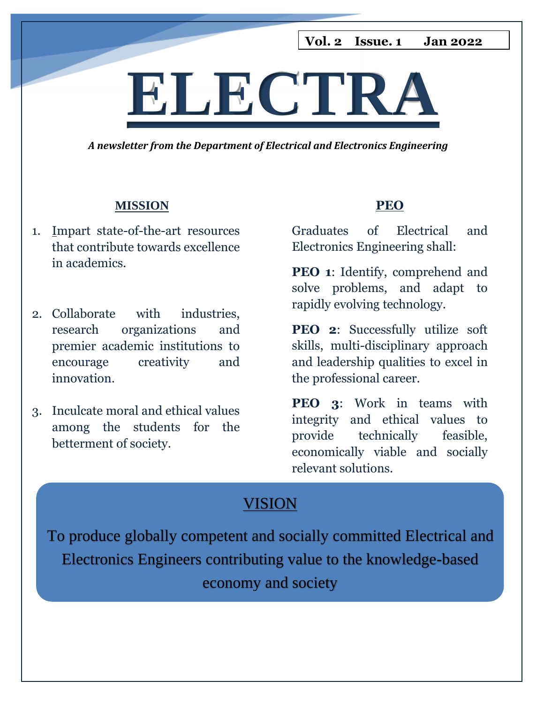**Vol. 2 Issue. 1 Jan 2022**

# **ELECTRA**

*A newsletter from the Department of Electrical and Electronics Engineering*

#### **MISSION**

- 1. Impart state-of-the-art resources that contribute towards excellence in academics.
- 2. Collaborate with industries, research organizations and premier academic institutions to encourage creativity and innovation.
- 3. Inculcate moral and ethical values among the students for the betterment of society.

### **PEO**

Graduates of Electrical and Electronics Engineering shall:

**PEO 1:** Identify, comprehend and solve problems, and adapt to rapidly evolving technology.

**PEO 2**: Successfully utilize soft skills, multi-disciplinary approach and leadership qualities to excel in the professional career.

**PEO 3**: Work in teams with integrity and ethical values to provide technically feasible, economically viable and socially relevant solutions.

### VISION

To produce globally competent and socially committed Electrical and Electronics Engineers contributing value to the knowledge-based economy and society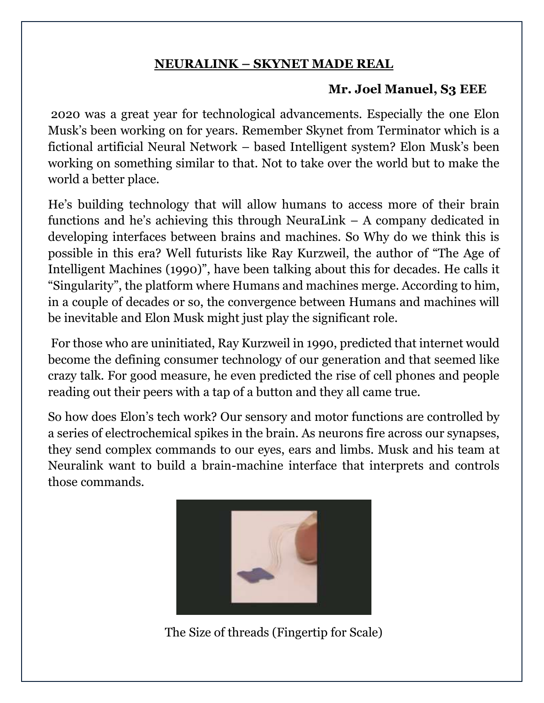### **NEURALINK – SKYNET MADE REAL**

### **Mr. Joel Manuel, S3 EEE**

2020 was a great year for technological advancements. Especially the one Elon Musk's been working on for years. Remember Skynet from Terminator which is a fictional artificial Neural Network – based Intelligent system? Elon Musk's been working on something similar to that. Not to take over the world but to make the world a better place.

He's building technology that will allow humans to access more of their brain functions and he's achieving this through NeuraLink – A company dedicated in developing interfaces between brains and machines. So Why do we think this is possible in this era? Well futurists like Ray Kurzweil, the author of "The Age of Intelligent Machines (1990)", have been talking about this for decades. He calls it "Singularity", the platform where Humans and machines merge. According to him, in a couple of decades or so, the convergence between Humans and machines will be inevitable and Elon Musk might just play the significant role.

For those who are uninitiated, Ray Kurzweil in 1990, predicted that internet would become the defining consumer technology of our generation and that seemed like crazy talk. For good measure, he even predicted the rise of cell phones and people reading out their peers with a tap of a button and they all came true.

So how does Elon's tech work? Our sensory and motor functions are controlled by a series of electrochemical spikes in the brain. As neurons fire across our synapses, they send complex commands to our eyes, ears and limbs. Musk and his team at Neuralink want to build a brain-machine interface that interprets and controls those commands.



The Size of threads (Fingertip for Scale)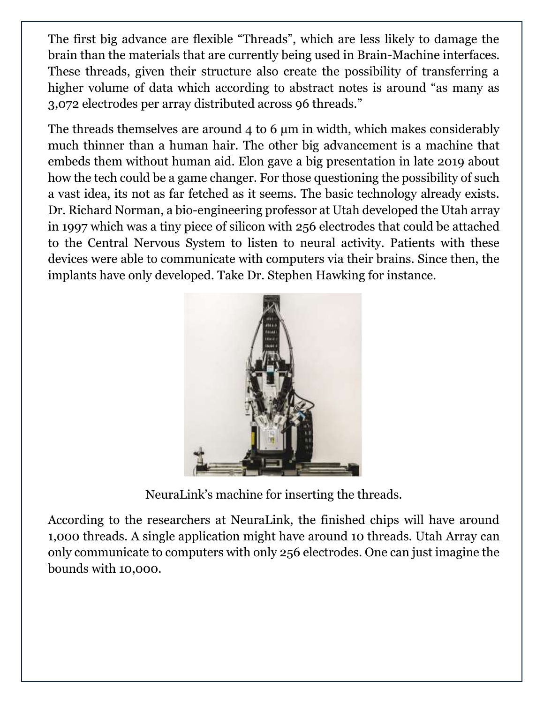The first big advance are flexible "Threads", which are less likely to damage the brain than the materials that are currently being used in Brain-Machine interfaces. These threads, given their structure also create the possibility of transferring a higher volume of data which according to abstract notes is around "as many as 3,072 electrodes per array distributed across 96 threads."

The threads themselves are around 4 to 6 μm in width, which makes considerably much thinner than a human hair. The other big advancement is a machine that embeds them without human aid. Elon gave a big presentation in late 2019 about how the tech could be a game changer. For those questioning the possibility of such a vast idea, its not as far fetched as it seems. The basic technology already exists. Dr. Richard Norman, a bio-engineering professor at Utah developed the Utah array in 1997 which was a tiny piece of silicon with 256 electrodes that could be attached to the Central Nervous System to listen to neural activity. Patients with these devices were able to communicate with computers via their brains. Since then, the implants have only developed. Take Dr. Stephen Hawking for instance.



NeuraLink's machine for inserting the threads.

According to the researchers at NeuraLink, the finished chips will have around 1,000 threads. A single application might have around 10 threads. Utah Array can only communicate to computers with only 256 electrodes. One can just imagine the bounds with 10,000.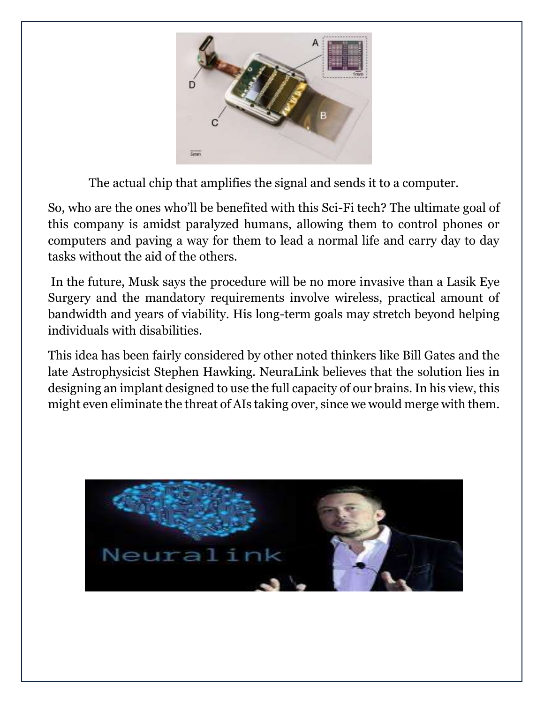

The actual chip that amplifies the signal and sends it to a computer.

So, who are the ones who'll be benefited with this Sci-Fi tech? The ultimate goal of this company is amidst paralyzed humans, allowing them to control phones or computers and paving a way for them to lead a normal life and carry day to day tasks without the aid of the others.

In the future, Musk says the procedure will be no more invasive than a Lasik Eye Surgery and the mandatory requirements involve wireless, practical amount of bandwidth and years of viability. His long-term goals may stretch beyond helping individuals with disabilities.

This idea has been fairly considered by other noted thinkers like Bill Gates and the late Astrophysicist Stephen Hawking. NeuraLink believes that the solution lies in designing an implant designed to use the full capacity of our brains. In his view, this might even eliminate the threat of AIs taking over, since we would merge with them.

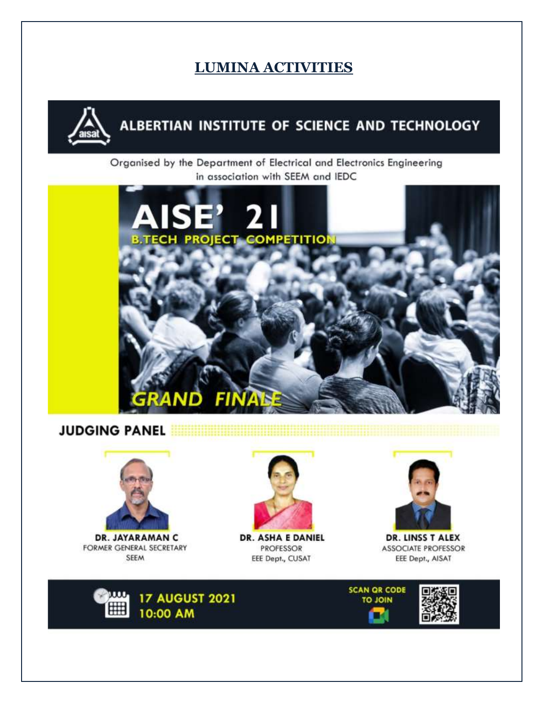### **LUMINA ACTIVITIES**



### ALBERTIAN INSTITUTE OF SCIENCE AND TECHNOLOGY

Organised by the Department of Electrical and Electronics Engineering in association with SEEM and IEDC



### **JUDGING PANEL**



**DR. JAYARAMAN C** FORMER GENERAL SECRETARY **SEEM** 



**DR. ASHA E DANIEL PROFESSOR** EEE Dept., CUSAT



DR. LINSS T ALEX **ASSOCIATE PROFESSOR** EEE Dept., AISAT



**SCAN QR CODE TO JOIN TAL** 

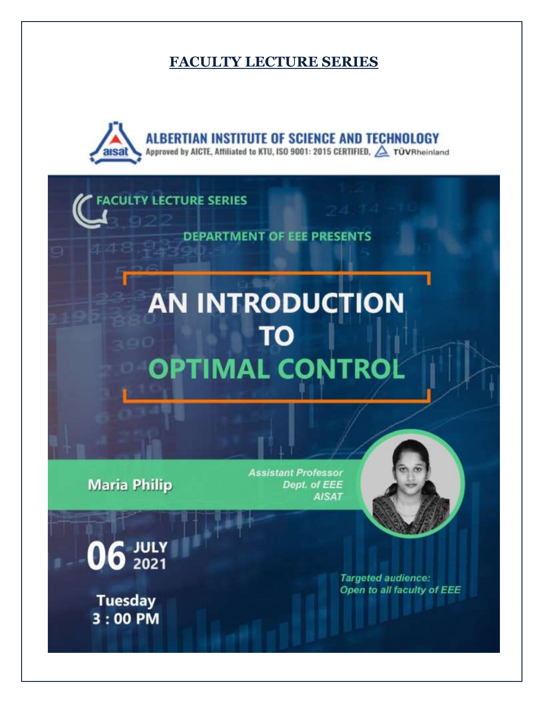### **FACULTY LECTURE SERIES**

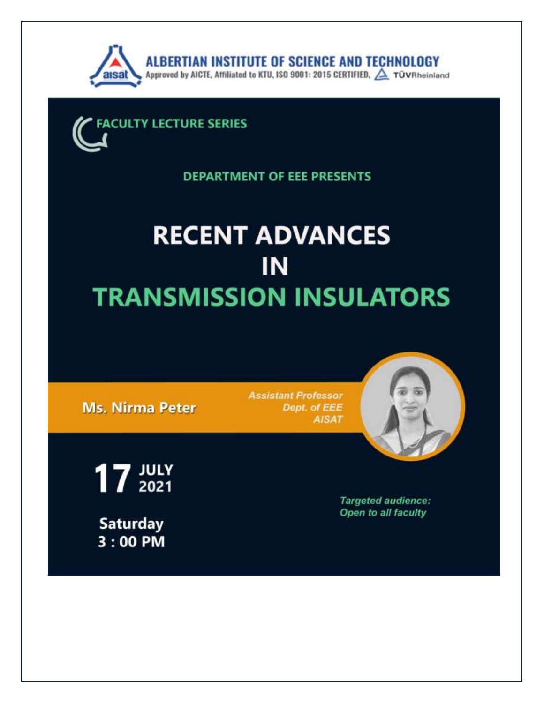



**DEPARTMENT OF EEE PRESENTS** 

# **RECENT ADVANCES** IN **TRANSMISSION INSULATORS**

**Ms. Nirma Peter** 

**Assistant Professor** Dept. of EEE **AISAT** 



 $17 \frac{JULY}{2021}$ **Saturday**  $3:00$  PM

**Targeted audience:** Open to all faculty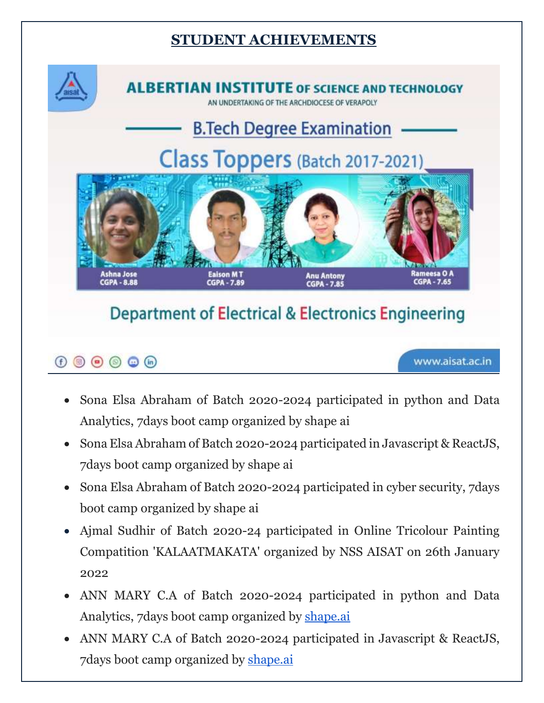### **STUDENT ACHIEVEMENTS**



**ALBERTIAN INSTITUTE OF SCIENCE AND TECHNOLOGY** 

THE ARCHDIOCESE OF VERAPOLY

## **B.Tech Degree Examination**

# Class Toppers (Batch 2017-2021)



### **Department of Electrical & Electronics Engineering**

### $\odot$   $\odot$   $\odot$   $\odot$   $\odot$

www.aisat.ac.in

- Sona Elsa Abraham of Batch 2020-2024 participated in python and Data Analytics, 7days boot camp organized by shape ai
- Sona Elsa Abraham of Batch 2020-2024 participated in Javascript & ReactJS, 7days boot camp organized by shape ai
- Sona Elsa Abraham of Batch 2020-2024 participated in cyber security, 7 days boot camp organized by shape ai
- Ajmal Sudhir of Batch 2020-24 participated in Online Tricolour Painting Compatition 'KALAATMAKATA' organized by NSS AISAT on 26th January 2022
- ANN MARY C.A of Batch 2020-2024 participated in python and Data Analytics, 7days boot camp organized by [shape.ai](http://shape.ai/)
- ANN MARY C.A of Batch 2020-2024 participated in Javascript & ReactJS, 7days boot camp organized by [shape.ai](http://shape.ai/)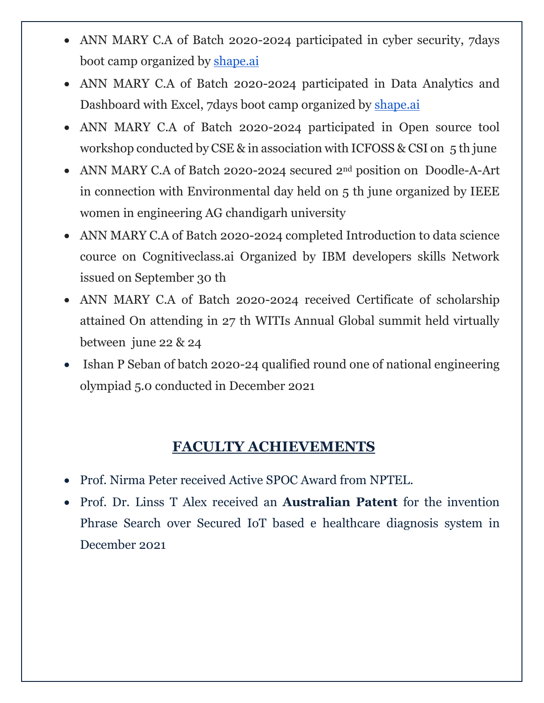- ANN MARY C.A of Batch 2020-2024 participated in cyber security, 7days boot camp organized by [shape.ai](http://shape.ai/)
- ANN MARY C.A of Batch 2020-2024 participated in Data Analytics and Dashboard with Excel, 7days boot camp organized by [shape.ai](http://shape.ai/)
- ANN MARY C.A of Batch 2020-2024 participated in Open source tool workshop conducted by CSE & in association with ICFOSS & CSI on  $5$  th june
- ANN MARY C.A of Batch 2020-2024 secured 2<sup>nd</sup> position on Doodle-A-Art in connection with Environmental day held on 5 th june organized by IEEE women in engineering AG chandigarh university
- ANN MARY C.A of Batch 2020-2024 completed Introduction to data science cource on Cognitiveclass.ai Organized by IBM developers skills Network issued on September 30 th
- ANN MARY C.A of Batch 2020-2024 received Certificate of scholarship attained On attending in 27 th WITIs Annual Global summit held virtually between june 22 & 24
- Ishan P Seban of batch 2020-24 qualified round one of national engineering olympiad 5.0 conducted in December 2021

### **FACULTY ACHIEVEMENTS**

- Prof. Nirma Peter received Active SPOC Award from NPTEL.
- Prof. Dr. Linss T Alex received an **Australian Patent** for the invention Phrase Search over Secured IoT based e healthcare diagnosis system in December 2021